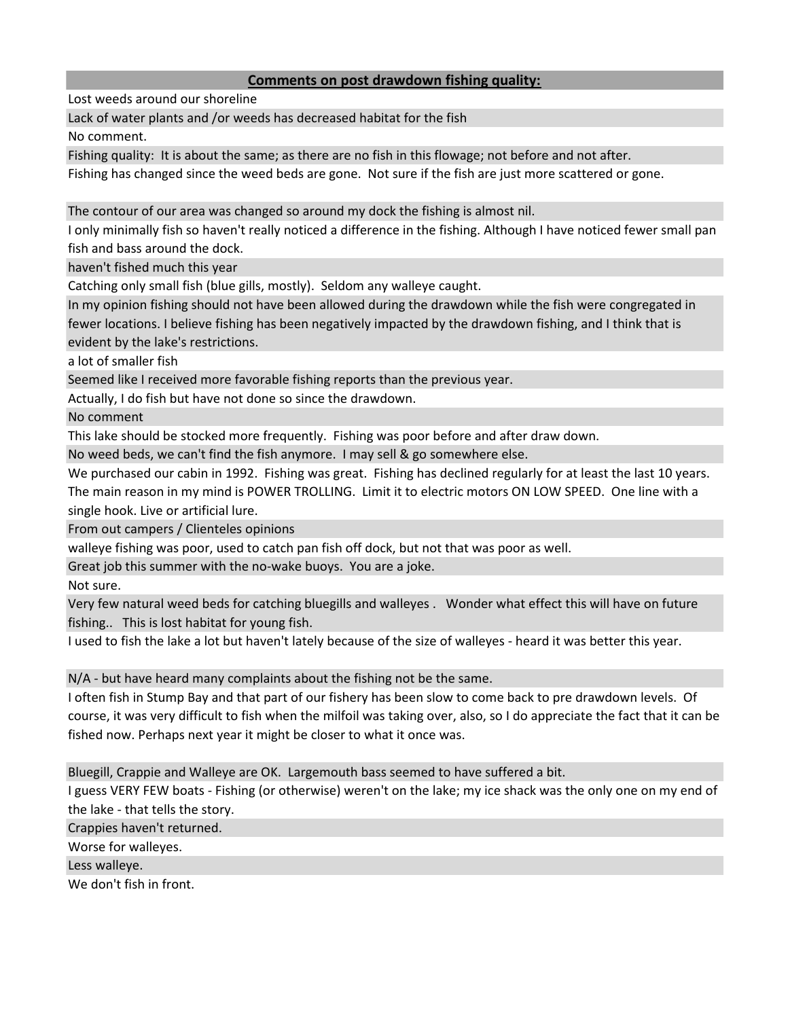## **Comments on post drawdown fishing quality:**

Lost weeds around our shoreline

Lack of water plants and /or weeds has decreased habitat for the fish

No comment.

Fishing quality: It is about the same; as there are no fish in this flowage; not before and not after.

Fishing has changed since the weed beds are gone. Not sure if the fish are just more scattered or gone.

The contour of our area was changed so around my dock the fishing is almost nil.

I only minimally fish so haven't really noticed a difference in the fishing. Although I have noticed fewer small pan fish and bass around the dock.

haven't fished much this year

Catching only small fish (blue gills, mostly). Seldom any walleye caught.

In my opinion fishing should not have been allowed during the drawdown while the fish were congregated in fewer locations. I believe fishing has been negatively impacted by the drawdown fishing, and I think that is evident by the lake's restrictions.

a lot of smaller fish

Seemed like I received more favorable fishing reports than the previous year.

Actually, I do fish but have not done so since the drawdown.

No comment

This lake should be stocked more frequently. Fishing was poor before and after draw down.

No weed beds, we can't find the fish anymore. I may sell & go somewhere else.

We purchased our cabin in 1992. Fishing was great. Fishing has declined regularly for at least the last 10 years. The main reason in my mind is POWER TROLLING. Limit it to electric motors ON LOW SPEED. One line with a single hook. Live or artificial lure.

From out campers / Clienteles opinions

walleye fishing was poor, used to catch pan fish off dock, but not that was poor as well.

Great job this summer with the no-wake buoys. You are a joke.

Not sure.

Very few natural weed beds for catching bluegills and walleyes . Wonder what effect this will have on future fishing.. This is lost habitat for young fish.

I used to fish the lake a lot but haven't lately because of the size of walleyes - heard it was better this year.

N/A - but have heard many complaints about the fishing not be the same.

I often fish in Stump Bay and that part of our fishery has been slow to come back to pre drawdown levels. Of course, it was very difficult to fish when the milfoil was taking over, also, so I do appreciate the fact that it can be fished now. Perhaps next year it might be closer to what it once was.

Bluegill, Crappie and Walleye are OK. Largemouth bass seemed to have suffered a bit.

I guess VERY FEW boats - Fishing (or otherwise) weren't on the lake; my ice shack was the only one on my end of the lake - that tells the story.

Crappies haven't returned.

Worse for walleyes.

Less walleye.

We don't fish in front.